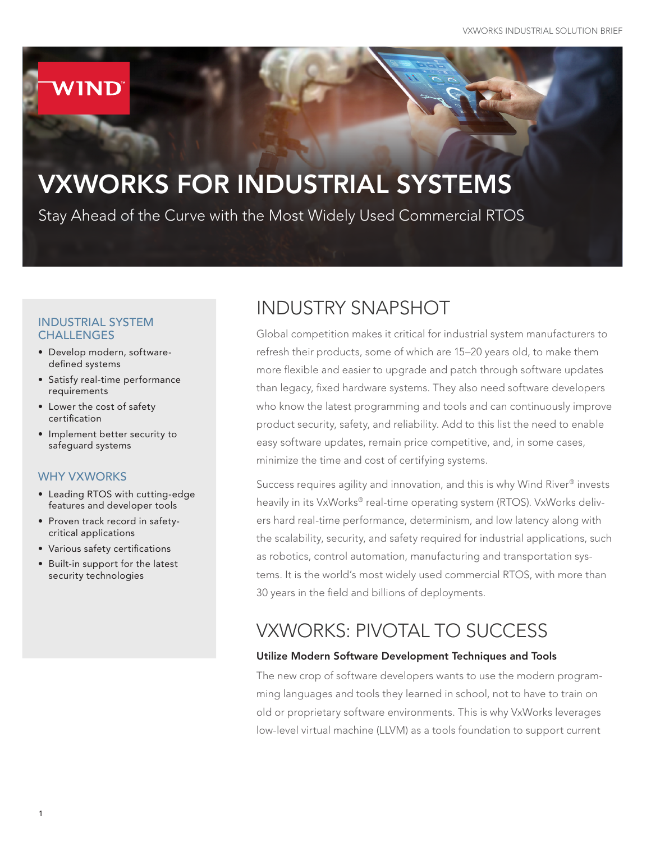# **WIND**

# VXWORKS FOR INDUSTRIAL SYSTEMS

Stay Ahead of the Curve with the Most Widely Used Commercial RTOS

### INDUSTRIAL SYSTEM **CHALLENGES**

- Develop modern, softwaredefined systems
- Satisfy real-time performance requirements
- Lower the cost of safety certification
- Implement better security to safeguard systems

### WHY VXWORKS

- Leading RTOS with cutting-edge features and developer tools
- Proven track record in safetycritical applications
- Various safety certifications
- Built-in support for the latest security technologies

# INDUSTRY SNAPSHOT

Global competition makes it critical for industrial system manufacturers to refresh their products, some of which are 15–20 years old, to make them more flexible and easier to upgrade and patch through software updates than legacy, fixed hardware systems. They also need software developers who know the latest programming and tools and can continuously improve product security, safety, and reliability. Add to this list the need to enable easy software updates, remain price competitive, and, in some cases, minimize the time and cost of certifying systems.

Success requires agility and innovation, and this is why Wind River® invests heavily in its VxWorks® real-time operating system (RTOS). VxWorks delivers hard real-time performance, determinism, and low latency along with the scalability, security, and safety required for industrial applications, such as robotics, control automation, manufacturing and transportation systems. It is the world's most widely used commercial RTOS, with more than 30 years in the field and billions of deployments.

## VXWORKS: PIVOTAL TO SUCCESS

### Utilize Modern Software Development Techniques and Tools

The new crop of software developers wants to use the modern programming languages and tools they learned in school, not to have to train on old or proprietary software environments. This is why VxWorks leverages low-level virtual machine (LLVM) as a tools foundation to support current